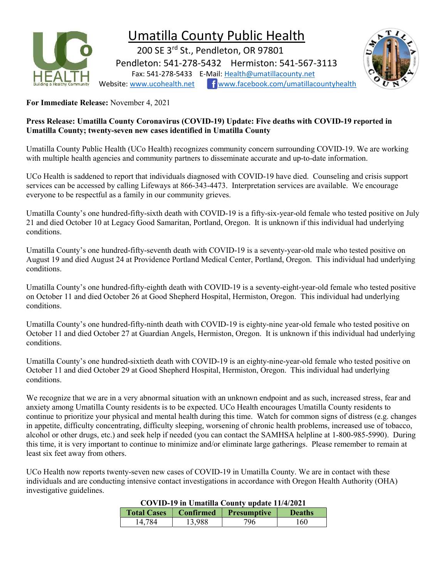

# Umatilla County Public Health

 200 SE 3rd St., Pendleton, OR 97801 Pendleton: 541-278-5432 Hermiston: 541-567-3113 Fax: 541-278-5433 E-Mail: Health@umatillacounty.net Website: www.ucohealth.net www.facebook.com/umatillacountyhealth



For Immediate Release: November 4, 2021

#### Press Release: Umatilla County Coronavirus (COVID-19) Update: Five deaths with COVID-19 reported in Umatilla County; twenty-seven new cases identified in Umatilla County

Umatilla County Public Health (UCo Health) recognizes community concern surrounding COVID-19. We are working with multiple health agencies and community partners to disseminate accurate and up-to-date information.

UCo Health is saddened to report that individuals diagnosed with COVID-19 have died. Counseling and crisis support services can be accessed by calling Lifeways at 866-343-4473. Interpretation services are available. We encourage everyone to be respectful as a family in our community grieves.

Umatilla County's one hundred-fifty-sixth death with COVID-19 is a fifty-six-year-old female who tested positive on July 21 and died October 10 at Legacy Good Samaritan, Portland, Oregon. It is unknown if this individual had underlying conditions.

Umatilla County's one hundred-fifty-seventh death with COVID-19 is a seventy-year-old male who tested positive on August 19 and died August 24 at Providence Portland Medical Center, Portland, Oregon. This individual had underlying conditions.

Umatilla County's one hundred-fifty-eighth death with COVID-19 is a seventy-eight-year-old female who tested positive on October 11 and died October 26 at Good Shepherd Hospital, Hermiston, Oregon. This individual had underlying conditions.

Umatilla County's one hundred-fifty-ninth death with COVID-19 is eighty-nine year-old female who tested positive on October 11 and died October 27 at Guardian Angels, Hermiston, Oregon. It is unknown if this individual had underlying conditions.

Umatilla County's one hundred-sixtieth death with COVID-19 is an eighty-nine-year-old female who tested positive on October 11 and died October 29 at Good Shepherd Hospital, Hermiston, Oregon. This individual had underlying conditions.

We recognize that we are in a very abnormal situation with an unknown endpoint and as such, increased stress, fear and anxiety among Umatilla County residents is to be expected. UCo Health encourages Umatilla County residents to continue to prioritize your physical and mental health during this time. Watch for common signs of distress (e.g. changes in appetite, difficulty concentrating, difficulty sleeping, worsening of chronic health problems, increased use of tobacco, alcohol or other drugs, etc.) and seek help if needed (you can contact the SAMHSA helpline at 1-800-985-5990). During this time, it is very important to continue to minimize and/or eliminate large gatherings. Please remember to remain at least six feet away from others.

UCo Health now reports twenty-seven new cases of COVID-19 in Umatilla County. We are in contact with these individuals and are conducting intensive contact investigations in accordance with Oregon Health Authority (OHA) investigative guidelines.

### COVID-19 in Umatilla County update 11/4/2021

| COVID-17 In Umatina County upuate 11/7/2021 |           |                    |               |  |
|---------------------------------------------|-----------|--------------------|---------------|--|
| <b>Total Cases</b>                          | Confirmed | <b>Presumptive</b> | <b>Deaths</b> |  |
| 14.784                                      | 13,988    | 796                | 160           |  |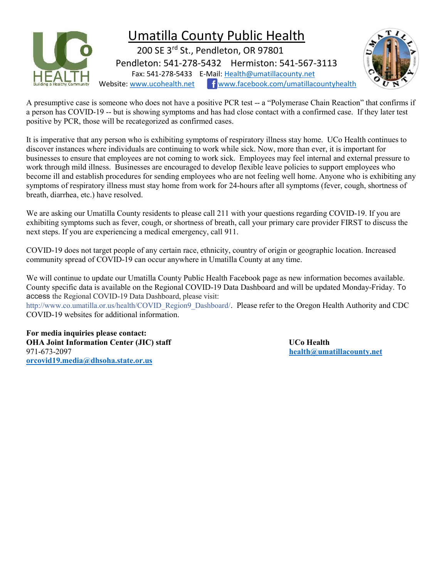

A presumptive case is someone who does not have a positive PCR test -- a "Polymerase Chain Reaction" that confirms if a person has COVID-19 -- but is showing symptoms and has had close contact with a confirmed case. If they later test positive by PCR, those will be recategorized as confirmed cases.

It is imperative that any person who is exhibiting symptoms of respiratory illness stay home. UCo Health continues to discover instances where individuals are continuing to work while sick. Now, more than ever, it is important for businesses to ensure that employees are not coming to work sick. Employees may feel internal and external pressure to work through mild illness. Businesses are encouraged to develop flexible leave policies to support employees who become ill and establish procedures for sending employees who are not feeling well home. Anyone who is exhibiting any symptoms of respiratory illness must stay home from work for 24-hours after all symptoms (fever, cough, shortness of breath, diarrhea, etc.) have resolved.

We are asking our Umatilla County residents to please call 211 with your questions regarding COVID-19. If you are exhibiting symptoms such as fever, cough, or shortness of breath, call your primary care provider FIRST to discuss the next steps. If you are experiencing a medical emergency, call 911.

COVID-19 does not target people of any certain race, ethnicity, country of origin or geographic location. Increased community spread of COVID-19 can occur anywhere in Umatilla County at any time.

We will continue to update our Umatilla County Public Health Facebook page as new information becomes available. County specific data is available on the Regional COVID-19 Data Dashboard and will be updated Monday-Friday. To access the Regional COVID-19 Data Dashboard, please visit:

http://www.co.umatilla.or.us/health/COVID\_Region9\_Dashboard/. Please refer to the Oregon Health Authority and CDC COVID-19 websites for additional information.

For media inquiries please contact: OHA Joint Information Center (JIC) staff UCo Health 971-673-2097 health@umatillacounty.net orcovid19.media@dhsoha.state.or.us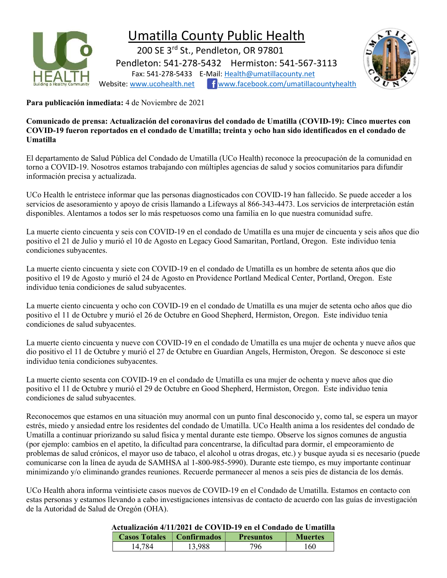

## Umatilla County Public Health

 200 SE 3rd St., Pendleton, OR 97801 Pendleton: 541-278-5432 Hermiston: 541-567-3113 Fax: 541-278-5433 E-Mail: Health@umatillacounty.net Website: www.ucohealth.net fwww.facebook.com/umatillacountyhealth



Para publicación inmediata: 4 de Noviembre de 2021

Comunicado de prensa: Actualización del coronavirus del condado de Umatilla (COVID-19): Cinco muertes con COVID-19 fueron reportados en el condado de Umatilla; treinta y ocho han sido identificados en el condado de Umatilla

El departamento de Salud Pública del Condado de Umatilla (UCo Health) reconoce la preocupación de la comunidad en torno a COVID-19. Nosotros estamos trabajando con múltiples agencias de salud y socios comunitarios para difundir información precisa y actualizada.

UCo Health le entristece informar que las personas diagnosticados con COVID-19 han fallecido. Se puede acceder a los servicios de asesoramiento y apoyo de crisis llamando a Lifeways al 866-343-4473. Los servicios de interpretación están disponibles. Alentamos a todos ser lo más respetuosos como una familia en lo que nuestra comunidad sufre.

La muerte ciento cincuenta y seis con COVID-19 en el condado de Umatilla es una mujer de cincuenta y seis años que dio positivo el 21 de Julio y murió el 10 de Agosto en Legacy Good Samaritan, Portland, Oregon. Este individuo tenia condiciones subyacentes.

La muerte ciento cincuenta y siete con COVID-19 en el condado de Umatilla es un hombre de setenta años que dio positivo el 19 de Agosto y murió el 24 de Agosto en Providence Portland Medical Center, Portland, Oregon. Este individuo tenia condiciones de salud subyacentes.

La muerte ciento cincuenta y ocho con COVID-19 en el condado de Umatilla es una mujer de setenta ocho años que dio positivo el 11 de Octubre y murió el 26 de Octubre en Good Shepherd, Hermiston, Oregon. Este individuo tenia condiciones de salud subyacentes.

La muerte ciento cincuenta y nueve con COVID-19 en el condado de Umatilla es una mujer de ochenta y nueve años que dio positivo el 11 de Octubre y murió el 27 de Octubre en Guardian Angels, Hermiston, Oregon. Se desconoce si este individuo tenia condiciones subyacentes.

La muerte ciento sesenta con COVID-19 en el condado de Umatilla es una mujer de ochenta y nueve años que dio positivo el 11 de Octubre y murió el 29 de Octubre en Good Shepherd, Hermiston, Oregon. Este individuo tenia condiciones de salud subyacentes.

Reconocemos que estamos en una situación muy anormal con un punto final desconocido y, como tal, se espera un mayor estrés, miedo y ansiedad entre los residentes del condado de Umatilla. UCo Health anima a los residentes del condado de Umatilla a continuar priorizando su salud física y mental durante este tiempo. Observe los signos comunes de angustia (por ejemplo: cambios en el apetito, la dificultad para concentrarse, la dificultad para dormir, el empeoramiento de problemas de salud crónicos, el mayor uso de tabaco, el alcohol u otras drogas, etc.) y busque ayuda si es necesario (puede comunicarse con la línea de ayuda de SAMHSA al 1-800-985-5990). Durante este tiempo, es muy importante continuar minimizando y/o eliminando grandes reuniones. Recuerde permanecer al menos a seis pies de distancia de los demás.

UCo Health ahora informa veintisiete casos nuevos de COVID-19 en el Condado de Umatilla. Estamos en contacto con estas personas y estamos llevando a cabo investigaciones intensivas de contacto de acuerdo con las guías de investigación de la Autoridad de Salud de Oregón (OHA).

### Actualización 4/11/2021 de COVID-19 en el Condado de Umatilla

| ACIUANZACION 7/11/2021 UC CO V ID-17 EN EL CONUAUD UE O MAUNA |        |                  |                |  |
|---------------------------------------------------------------|--------|------------------|----------------|--|
| <b>Casos Totales</b>   Confirmados                            |        | <b>Presuntos</b> | <b>Muertes</b> |  |
| 14.784                                                        | 13,988 | 796              | 160            |  |